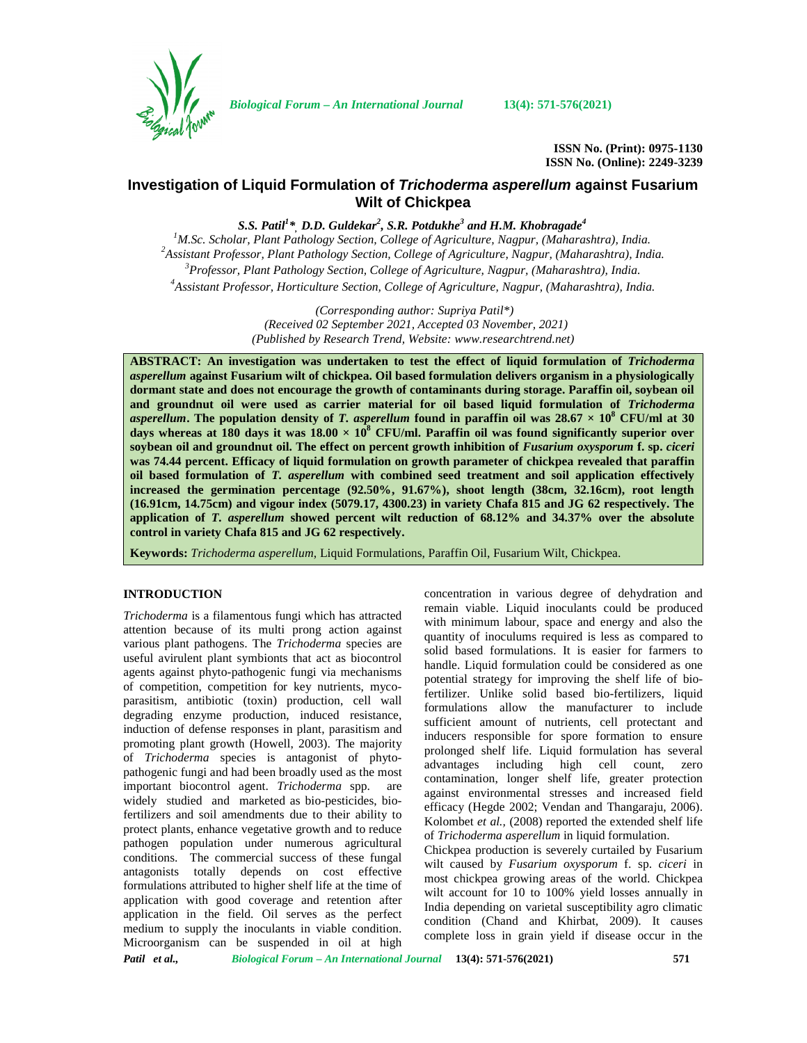

*Biological Forum – An International Journal* **13(4): 571-576(2021)**

**ISSN No. (Print): 0975-1130 ISSN No. (Online): 2249-3239**

# **Investigation of Liquid Formulation of** *Trichoderma asperellum* **against Fusarium Wilt of Chickpea**

*S.S. Patil<sup>1</sup>\*, D.D. Guldekar<sup>2</sup> , S.R. Potdukhe<sup>3</sup> and H.M. Khobragade<sup>4</sup>*

<sup>1</sup>M.Sc. Scholar, Plant Pathology Section, College of Agriculture, Nagpur, (Maharashtra), India.<br><sup>2</sup>Assistant Professor, Plant Pathology Section, College of Agriculture, Nagpur, (Maharashtra), India. *<sup>3</sup>Professor, Plant Pathology Section, College of Agriculture, Nagpur, (Maharashtra), India. <sup>4</sup>Assistant Professor, Horticulture Section, College of Agriculture, Nagpur, (Maharashtra), India.*

> *(Corresponding author: Supriya Patil\*) (Received 02 September 2021, Accepted 03 November, 2021) (Published by Research Trend, Website: [www.researchtrend.net\)](www.researchtrend.net)*

**ABSTRACT: An investigation was undertaken to test the effect of liquid formulation of** *Trichoderma asperellum* **against Fusarium wilt of chickpea. Oil based formulation delivers organism in a physiologically dormant state and does not encourage the growth of contaminants during storage. Paraffin oil, soybean oil and groundnut oil were used as carrier material for oil based liquid formulation of** *Trichoderma asperellum***.** The population density of *T. asperellum* found in paraffin oil was  $28.67 \times 10^8$  CFU/ml at 30 **days whereas at 180 days it was 18.00 × 10<sup>8</sup> CFU/ml. Paraffin oil was found significantly superior over soybean oil and groundnut oil. The effect on percent growth inhibition of** *Fusarium oxysporum* **f. sp.** *ciceri* **was 74.44 percent. Efficacy of liquid formulation on growth parameter of chickpea revealed that paraffin oil based formulation of** *T. asperellum* **with combined seed treatment and soil application effectively increased the germination percentage (92.50%, 91.67%), shoot length (38cm, 32.16cm), root length (16.91cm, 14.75cm) and vigour index (5079.17, 4300.23) in variety Chafa 815 and JG 62 respectively. The application of** *T. asperellum* **showed percent wilt reduction of 68.12% and 34.37% over the absolute control in variety Chafa 815 and JG 62 respectively.**

**Keywords:** *Trichoderma asperellum*, Liquid Formulations, Paraffin Oil, Fusarium Wilt, Chickpea.

## **INTRODUCTION**

*Trichoderma* is a filamentous fungi which has attracted attention because of its multi prong action against various plant pathogens. The *Trichoderma* species are useful avirulent plant symbionts that act as biocontrol agents against phyto-pathogenic fungi via mechanisms of competition, competition for key nutrients, myco parasitism, antibiotic (toxin) production, cell wall degrading enzyme production, induced resistance, induction of defense responses in plant, parasitism and promoting plant growth (Howell, 2003). The majority of *Trichoderma* species is antagonist of phyto pathogenic fungi and had been broadly used as the most important biocontrol agent. *Trichoderma* spp. are widely studied and marketed as bio-pesticides, biofertilizers and soil amendments due to their ability to protect plants, enhance vegetative growth and to reduce pathogen population under numerous agricultural conditions. The commercial success of these fungal antagonists totally depends on cost effective formulations attributed to higher shelf life at the time of application with good coverage and retention after application in the field. Oil serves as the perfect medium to supply the inoculants in viable condition. Microorganism can be suspended in oil at high concentration in various degree of dehydration and remain viable. Liquid inoculants could be produced with minimum labour, space and energy and also the quantity of inoculums required is less as compared to solid based formulations. It is easier for farmers to handle. Liquid formulation could be considered as one potential strategy for improving the shelf life of biofertilizer. Unlike solid based bio-fertilizers, liquid formulations allow the manufacturer to include sufficient amount of nutrients, cell protectant and inducers responsible for spore formation to ensure prolonged shelf life. Liquid formulation has several advantages including high cell count, zero contamination, longer shelf life, greater protection against environmental stresses and increased field efficacy (Hegde 2002; Vendan and Thangaraju, 2006). Kolombet *et al.,* (2008) reported the extended shelf life of *Trichoderma asperellum* in liquid formulation.

Chickpea production is severely curtailed by Fusarium wilt caused by *Fusarium oxysporum* f. sp. *ciceri* in most chickpea growing areas of the world. Chickpea wilt account for 10 to 100% yield losses annually in India depending on varietal susceptibility agro climatic condition (Chand and Khirbat*,* 2009). It causes complete loss in grain yield if disease occur in the

*Patil et al., Biological Forum – An International Journal* **13(4): 571-576(2021) 571**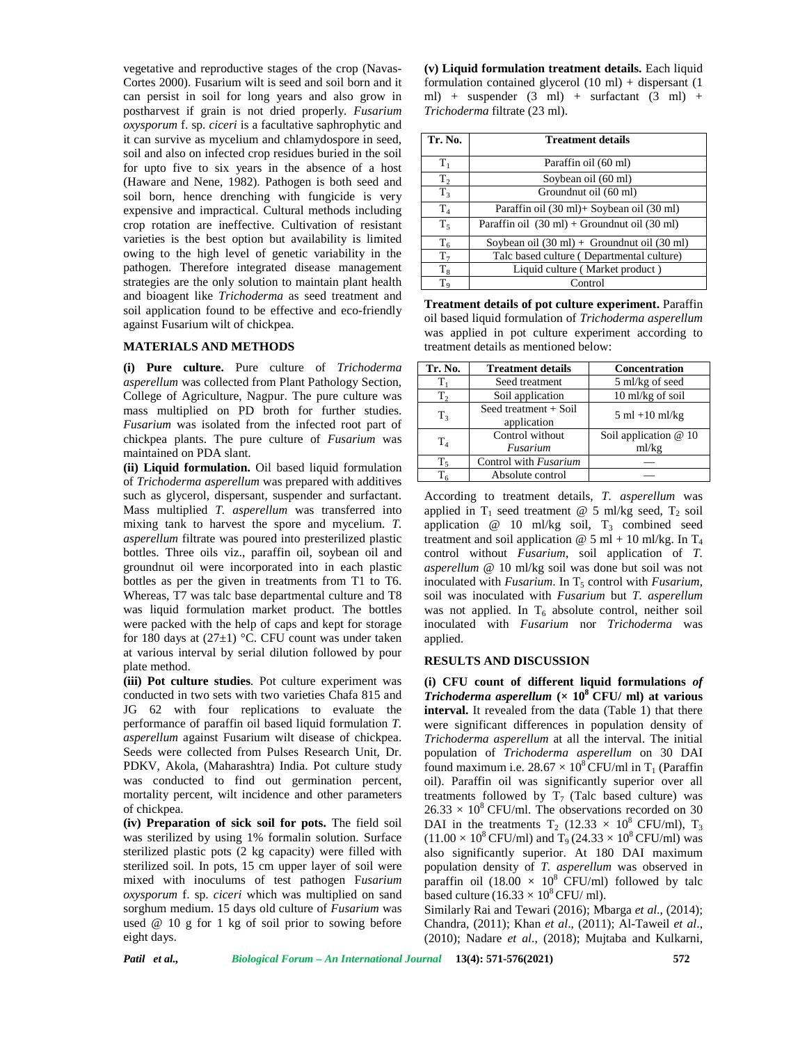vegetative and reproductive stages of the crop (Navas- Cortes 2000). Fusarium wilt is seed and soil born and it can persist in soil for long years and also grow in postharvest if grain is not dried properly. *Fusarium oxysporum* f. sp. *ciceri* is a facultative saphrophytic and it can survive as mycelium and chlamydospore in seed, soil and also on infected crop residues buried in the soil for upto five to six years in the absence of a host (Haware and Nene, 1982). Pathogen is both seed and soil born, hence drenching with fungicide is very expensive and impractical. Cultural methods including crop rotation are ineffective. Cultivation of resistant varieties is the best option but availability is limited owing to the high level of genetic variability in the pathogen. Therefore integrated disease management strategies are the only solution to maintain plant health and bioagent like *Trichoderma* as seed treatment and soil application found to be effective and eco-friendly against Fusarium wilt of chickpea.

### **MATERIALS AND METHODS**

**(i) Pure culture.** Pure culture of *Trichoderma asperellum* was collected from Plant Pathology Section, College of Agriculture, Nagpur. The pure culture was mass multiplied on PD broth for further studies. *Fusarium* was isolated from the infected root part of chickpea plants. The pure culture of *Fusarium* was maintained on PDA slant.

**(ii) Liquid formulation.** Oil based liquid formulation of *Trichoderma asperellum* was prepared with additives such as glycerol, dispersant, suspender and surfactant. Mass multiplied *T. asperellum* was transferred into mixing tank to harvest the spore and mycelium. *T. asperellum* filtrate was poured into presterilized plastic bottles. Three oils viz., paraffin oil, soybean oil and groundnut oil were incorporated into in each plastic bottles as per the given in treatments from T1 to T6. Whereas, T7 was talc base departmental culture and T8 was liquid formulation market product. The bottles were packed with the help of caps and kept for storage for 180 days at  $(27\pm1)$  °C. CFU count was under taken at various interval by serial dilution followed by pour plate method.

**(iii) Pot culture studies***.* Pot culture experiment was conducted in two sets with two varieties Chafa 815 and JG 62 with four replications to evaluate the performance of paraffin oil based liquid formulation *T. asperellum* against Fusarium wilt disease of chickpea. Seeds were collected from Pulses Research Unit, Dr. PDKV, Akola, (Maharashtra) India. Pot culture study was conducted to find out germination percent, mortality percent, wilt incidence and other parameters of chickpea.

**(iv) Preparation of sick soil for pots.** The field soil was sterilized by using 1% formalin solution. Surface sterilized plastic pots (2 kg capacity) were filled with sterilized soil. In pots, 15 cm upper layer of soil were mixed with inoculums of test pathogen F*usarium oxysporum* f. sp. *ciceri* which was multiplied on sand sorghum medium. 15 days old culture of *Fusarium* was used @ 10 g for 1 kg of soil prior to sowing before eight days.

**(v) Liquid formulation treatment details.** Each liquid formulation contained glycerol  $(10 \text{ ml})$  + dispersant  $(1$ ml) + suspender  $(3 \text{ ml})$  + surfactant  $(3 \text{ ml})$  + *Trichoderma* filtrate (23 ml).

| Tr. No.   | <b>Treatment details</b>                                         |  |  |  |  |  |
|-----------|------------------------------------------------------------------|--|--|--|--|--|
| $T_1$     | Paraffin oil (60 ml)                                             |  |  |  |  |  |
| $T_2$     | Soybean oil (60 ml)                                              |  |  |  |  |  |
| $T_3$     | Groundnut oil (60 ml)                                            |  |  |  |  |  |
| $\rm T_4$ | Paraffin oil (30 ml)+ Soybean oil (30 ml)                        |  |  |  |  |  |
| $T_5$     | Paraffin oil $(30 \text{ ml})$ + Groundnut oil $(30 \text{ ml})$ |  |  |  |  |  |
| $T_6$     | Soybean oil $(30 \text{ ml})$ + Groundnut oil $(30 \text{ ml})$  |  |  |  |  |  |
| $T_7$     | Talc based culture (Departmental culture)                        |  |  |  |  |  |
| $T_8$     | Liquid culture (Market product)                                  |  |  |  |  |  |
| $T_{9}$   | Control                                                          |  |  |  |  |  |

**Treatment details of pot culture experiment.** Paraffin oil based liquid formulation of *Trichoderma asperellum* was applied in pot culture experiment according to treatment details as mentioned below:

| Tr. No.          | <b>Treatment details</b>             | <b>Concentration</b>              |
|------------------|--------------------------------------|-----------------------------------|
|                  | Seed treatment                       | 5 ml/kg of seed                   |
| T <sub>2</sub>   | Soil application                     | 10 ml/kg of soil                  |
| $T_3$            | Seed treatment + Soil<br>application | $5 \text{ ml} + 10 \text{ ml/kg}$ |
| $T_{4}$          | Control without                      | Soil application $@10$            |
|                  | Fusarium                             | ml/kg                             |
| Τ,               | Control with Fusarium                |                                   |
| $\mathrm{T_{6}}$ | Absolute control                     |                                   |

According to treatment details, *T. asperellum* was applied in  $T_1$  seed treatment @ 5 ml/kg seed,  $T_2$  soil application  $\omega$  10 ml/kg soil,  $T_3$  combined seed treatment and soil application  $\omega$  5 ml + 10 ml/kg. In  $T_4$ control without *Fusarium*, soil application of *T. asperellum* @ 10 ml/kg soil was done but soil was not inoculated with *Fusarium*. In T<sub>5</sub> control with *Fusarium*, soil was inoculated with *Fusarium* but *T. asperellum* was not applied. In  $T_6$  absolute control, neither soil inoculated with *Fusarium* nor *Trichoderma* was applied.

#### **RESULTS AND DISCUSSION**

**(i) CFU count of different liquid formulations** *of Trichoderma asperellum* **(× 10<sup>8</sup> CFU/ ml) at various interval.** It revealed from the data (Table 1) that there were significant differences in population density of *Trichoderma asperellum* at all the interval. The initial population of *Trichoderma asperellum* on 30 DAI found maximum i.e.  $28.67 \times 10^8$  CFU/ml in T<sub>1</sub> (Paraffin oil). Paraffin oil was significantly superior over all treatments followed by  $T_7$  (Talc based culture) was  $26.33 \times 10^8$  CFU/ml. The observations recorded on 30 DAI in the treatments  $T_2$  (12.33  $\times$  10<sup>8</sup> CFU/ml),  $T_3$  $(11.00 \times 10^8 \text{ CFU/ml})$  and T<sub>9</sub> (24.33  $\times 10^8 \text{ CFU/ml})$  was also significantly superior. At 180 DAI maximum population density of *T. asperellum* was observed in paraffin oil (18.00  $\times$  10<sup>8</sup> CFU/ml) followed by talc based culture (16.33  $\times$  10<sup>8</sup> CFU/ ml).

Similarly Rai and Tewari (2016); Mbarga *et al*., (2014); Chandra, (2011); Khan *et al*., (2011); Al-Taweil *et al*., (2010); Nadare *et al*., (2018); Mujtaba and Kulkarni,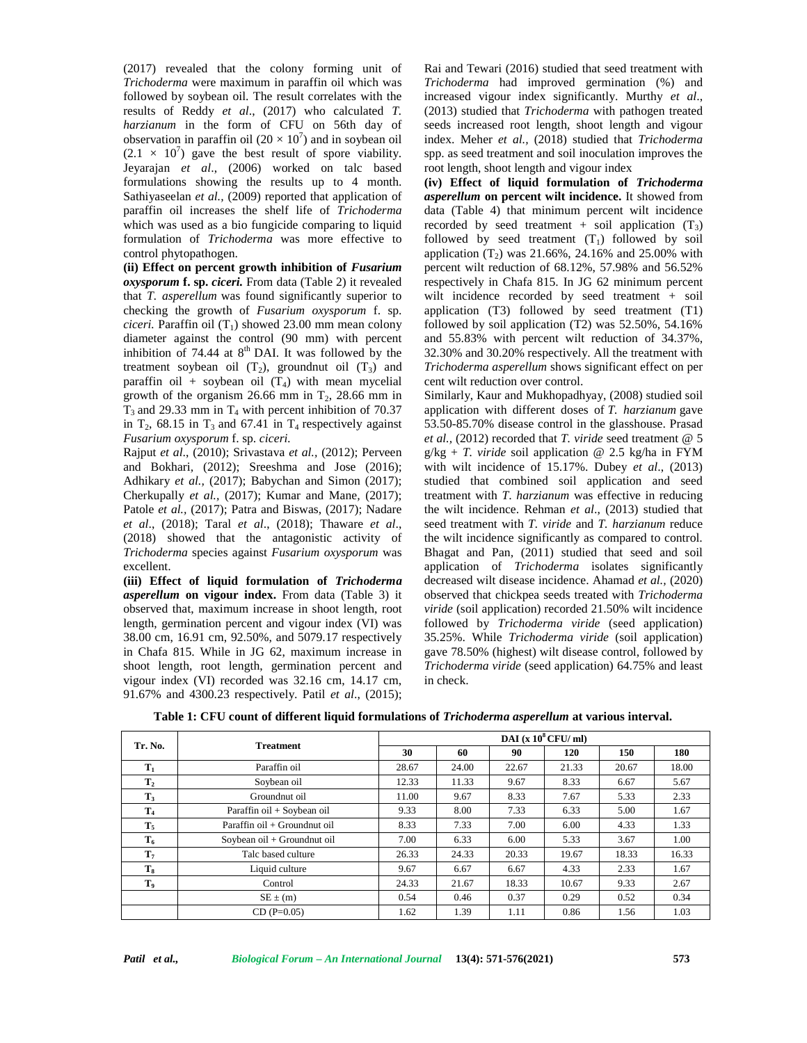(2017) revealed that the colony forming unit of *Trichoderma* were maximum in paraffin oil which was followed by soybean oil. The result correlates with the results of Reddy *et al*., (2017) who calculated *T. harzianum* in the form of CFU on 56th day of observation in paraffin oil  $(20 \times 10^7)$  and in soybean oil  $(2.1 \times 10^7)$  gave the best result of spore viability. Jeyarajan *et al*., (2006) worked on talc based formulations showing the results up to 4 month. Sathiyaseelan *et al.*, (2009) reported that application of paraffin oil increases the shelf life of *Trichoderma* which was used as a bio fungicide comparing to liquid formulation of *Trichoderma* was more effective to control phytopathogen.

**(ii) Effect on percent growth inhibition of** *Fusarium oxysporum* **f. sp.** *ciceri.* From data (Table 2) it revealed that *T. asperellum* was found significantly superior to checking the growth of *Fusarium oxysporum* f. sp. *ciceri.* Paraffin oil  $(T_1)$  showed 23.00 mm mean colony diameter against the control (90 mm) with percent inhibition of 74.44 at  $8<sup>th</sup>$  DAI. It was followed by the treatment soybean oil  $(T_2)$ , groundnut oil  $(T_3)$  and paraffin oil + soybean oil  $(T_4)$  with mean mycelial growth of the organism 26.66 mm in  $T_2$ , 28.66 mm in  $T_3$  and 29.33 mm in  $T_4$  with percent inhibition of 70.37 in  $T_2$ , 68.15 in  $T_3$  and 67.41 in  $T_4$  respectively against *Fusarium oxysporum* f. sp. *ciceri.*

Rajput *et al*., (2010); Srivastava *et al.,* (2012); Perveen and Bokhari*,* (2012); Sreeshma and Jose (2016); Adhikary *et al.,* (2017); Babychan and Simon (2017); Cherkupally *et al.,* (2017); Kumar and Mane*,* (2017); Patole *et al.*, (2017); Patra and Biswas, (2017); Nadare *et al*., (2018); Taral *et al*., (2018); Thaware *et al*., (2018) showed that the antagonistic activity of *Trichoderma* species against *Fusarium oxysporum* was excellent.

**(iii) Effect of liquid formulation of** *Trichoderma asperellum* **on vigour index.** From data (Table 3) it observed that, maximum increase in shoot length, root length, germination percent and vigour index (VI) was 38.00 cm, 16.91 cm, 92.50%, and 5079.17 respectively in Chafa 815. While in JG 62, maximum increase in shoot length, root length, germination percent and vigour index (VI) recorded was 32.16 cm, 14.17 cm, 91.67% and 4300.23 respectively. Patil *et al*., (2015);

Rai and Tewari (2016) studied that seed treatment with *Trichoderma* had improved germination (%) and increased vigour index significantly. Murthy *et al*., (2013) studied that *Trichoderma* with pathogen treated seeds increased root length, shoot length and vigour index. Meher *et al.,* (2018) studied that *Trichoderma* spp. as seed treatment and soil inoculation improves the root length, shoot length and vigour index

**(iv) Effect of liquid formulation of** *Trichoderma asperellum* **on percent wilt incidence.** It showed from data (Table 4) that minimum percent wilt incidence recorded by seed treatment + soil application  $(T_3)$ followed by seed treatment  $(T_1)$  followed by soil application  $(T_2)$  was 21.66%, 24.16% and 25.00% with percent wilt reduction of 68.12%, 57.98% and 56.52% respectively in Chafa 815. In JG 62 minimum percent wilt incidence recorded by seed treatment + soil application (T3) followed by seed treatment (T1) followed by soil application (T2) was 52.50%, 54.16% and 55.83% with percent wilt reduction of 34.37%, 32.30% and 30.20% respectively. All the treatment with *Trichoderma asperellum* shows significant effect on per cent wilt reduction over control.

Similarly, Kaur and Mukhopadhyay, (2008) studied soil application with different doses of *T. harzianum* gave 53.50-85.70% disease control in the glasshouse. Prasad *et al.,* (2012) recorded that *T. viride* seed treatment @ 5  $g/kg + T$ . *viride* soil application @ 2.5 kg/ha in FYM with wilt incidence of 15.17%. Dubey *et al*., (2013) studied that combined soil application and seed treatment with *T*. *harzianum* was effective in reducing the wilt incidence. Rehman *et al*., (2013) studied that seed treatment with *T. viride* and *T. harzianum* reduce the wilt incidence significantly as compared to control. Bhagat and Pan*,* (2011) studied that seed and soil application of *Trichoderma* isolates significantly decreased wilt disease incidence. Ahamad *et al.,* (2020) observed that chickpea seeds treated with *Trichoderma viride* (soil application) recorded 21.50% wilt incidence followed by *Trichoderma viride* (seed application) 35.25%. While *Trichoderma viride* (soil application) gave 78.50% (highest) wilt disease control, followed by *Trichoderma viride* (seed application) 64.75% and least in check.

| Tr. No.        | <b>Treatment</b>             | DAI $(x 10^8$ CFU/ml) |       |       |       |       |       |
|----------------|------------------------------|-----------------------|-------|-------|-------|-------|-------|
|                |                              | 30                    | 60    | 90    | 120   | 150   | 180   |
| $T_1$          | Paraffin oil                 | 28.67                 | 24.00 | 22.67 | 21.33 | 20.67 | 18.00 |
| $\mathbf{T}_2$ | Soybean oil                  | 12.33                 | 11.33 | 9.67  | 8.33  | 6.67  | 5.67  |
| T,             | Groundnut oil                | 11.00                 | 9.67  | 8.33  | 7.67  | 5.33  | 2.33  |
| T <sub>4</sub> | Paraffin oil + Soybean oil   | 9.33                  | 8.00  | 7.33  | 6.33  | 5.00  | 1.67  |
| $T_5$          | Paraffin oil + Groundnut oil | 8.33                  | 7.33  | 7.00  | 6.00  | 4.33  | 1.33  |
| $T_6$          | Soybean oil + Groundnut oil  | 7.00                  | 6.33  | 6.00  | 5.33  | 3.67  | 1.00  |
| $\mathbf{T}_7$ | Talc based culture           | 26.33                 | 24.33 | 20.33 | 19.67 | 18.33 | 16.33 |
| $T_{8}$        | Liquid culture               | 9.67                  | 6.67  | 6.67  | 4.33  | 2.33  | 1.67  |
| T,             | Control                      | 24.33                 | 21.67 | 18.33 | 10.67 | 9.33  | 2.67  |
|                | $SE \pm (m)$                 | 0.54                  | 0.46  | 0.37  | 0.29  | 0.52  | 0.34  |
|                | $CD(P=0.05)$                 | 1.62                  | 1.39  | 1.11  | 0.86  | 1.56  | 1.03  |

**Table 1: CFU count of different liquid formulations of** *Trichoderma asperellum* **at various interval.**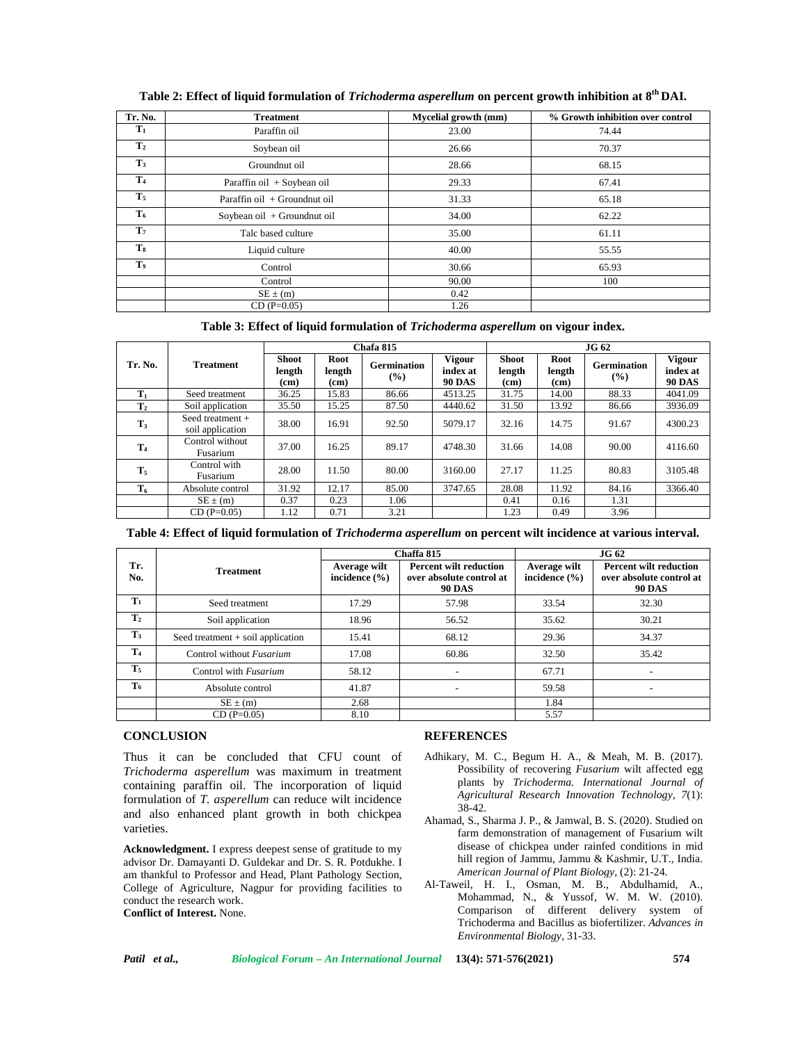| Tr. No.        | <b>Treatment</b>               | Mycelial growth (mm) | % Growth inhibition over control |  |
|----------------|--------------------------------|----------------------|----------------------------------|--|
| $\mathbf{T}_1$ | Paraffin oil                   | 23.00                | 74.44                            |  |
| T <sub>2</sub> | Soybean oil                    | 26.66                | 70.37                            |  |
| $T_3$          | Groundnut oil                  | 28.66                | 68.15                            |  |
| T <sub>4</sub> | Paraffin oil + Soybean oil     | 29.33                | 67.41                            |  |
| $T_5$          | Paraffin oil $+$ Groundnut oil | 31.33                | 65.18                            |  |
| $T_6$          | Soybean oil + Groundnut oil    | 34.00                | 62.22                            |  |
| $\mathbf{T}_7$ | Talc based culture             | 35.00                | 61.11                            |  |
| $T_8$          | Liquid culture                 | 40.00                | 55.55                            |  |
| T,             | Control                        | 30.66                | 65.93                            |  |
|                | Control                        | 90.00                | 100                              |  |
|                | $SE \pm (m)$                   | 0.42                 |                                  |  |
|                | $CD (P=0.05)$                  | 1.26                 |                                  |  |

**Table 2: Effect of liquid formulation of** *Trichoderma asperellum* **on percent growth inhibition at 8th DAI.**

**Table 3: Effect of liquid formulation of** *Trichoderma asperellum* **on vigour index.**

|                |                                        | Chafa 815                                   |                        |                              |                                            | <b>JG 62</b>                   |                                     |                              |                                            |
|----------------|----------------------------------------|---------------------------------------------|------------------------|------------------------------|--------------------------------------------|--------------------------------|-------------------------------------|------------------------------|--------------------------------------------|
| Tr. No.        | <b>Treatment</b>                       | <b>Shoot</b><br>length<br>(c <sub>m</sub> ) | Root<br>length<br>(cm) | <b>Germination</b><br>$(\%)$ | <b>Vigour</b><br>index at<br><b>90 DAS</b> | <b>Shoot</b><br>length<br>(cm) | Root<br>length<br>(c <sub>m</sub> ) | <b>Germination</b><br>$(\%)$ | <b>Vigour</b><br>index at<br><b>90 DAS</b> |
| $T_1$          | Seed treatment                         | 36.25                                       | 15.83                  | 86.66                        | 4513.25                                    | 31.75                          | 14.00                               | 88.33                        | 4041.09                                    |
| T <sub>2</sub> | Soil application                       | 35.50                                       | 15.25                  | 87.50                        | 4440.62                                    | 31.50                          | 13.92                               | 86.66                        | 3936.09                                    |
| $T_3$          | Seed treatment $+$<br>soil application | 38.00                                       | 16.91                  | 92.50                        | 5079.17                                    | 32.16                          | 14.75                               | 91.67                        | 4300.23                                    |
| T <sub>4</sub> | Control without<br>Fusarium            | 37.00                                       | 16.25                  | 89.17                        | 4748.30                                    | 31.66                          | 14.08                               | 90.00                        | 4116.60                                    |
| $T_5$          | Control with<br>Fusarium               | 28.00                                       | 11.50                  | 80.00                        | 3160.00                                    | 27.17                          | 11.25                               | 80.83                        | 3105.48                                    |
| $T_6$          | Absolute control                       | 31.92                                       | 12.17                  | 85.00                        | 3747.65                                    | 28.08                          | 11.92                               | 84.16                        | 3366.40                                    |
|                | $SE \pm (m)$                           | 0.37                                        | 0.23                   | 1.06                         |                                            | 0.41                           | 0.16                                | 1.31                         |                                            |
|                | $CD(P=0.05)$                           | 1.12                                        | 0.71                   | 3.21                         |                                            | 1.23                           | 0.49                                | 3.96                         |                                            |

**Table 4: Effect of liquid formulation of** *Trichoderma asperellum* **on percent wilt incidence at various interval.**

|                |                                     |                                   | Chaffa 815                                                                 | <b>JG 62</b>                      |                                                                            |  |
|----------------|-------------------------------------|-----------------------------------|----------------------------------------------------------------------------|-----------------------------------|----------------------------------------------------------------------------|--|
| Tr.<br>No.     | <b>Treatment</b>                    | Average wilt<br>incidence $(\% )$ | <b>Percent wilt reduction</b><br>over absolute control at<br><b>90 DAS</b> | Average wilt<br>incidence $(\% )$ | <b>Percent wilt reduction</b><br>over absolute control at<br><b>90 DAS</b> |  |
| $T_1$          | Seed treatment                      | 17.29                             | 57.98                                                                      | 33.54                             | 32.30                                                                      |  |
| T <sub>2</sub> | Soil application                    | 18.96                             | 56.52                                                                      | 35.62                             | 30.21                                                                      |  |
| $T_3$          | Seed treatment $+$ soil application | 15.41                             | 68.12                                                                      | 29.36                             | 34.37                                                                      |  |
| T <sub>4</sub> | Control without Fusarium            | 17.08                             | 60.86                                                                      | 32.50                             | 35.42                                                                      |  |
| T <sub>5</sub> | Control with Fusarium               | 58.12                             | ٠                                                                          | 67.71                             | ۰                                                                          |  |
| $T_6$          | Absolute control                    | 41.87                             |                                                                            | 59.58                             |                                                                            |  |
|                | $SE \pm (m)$                        | 2.68                              |                                                                            | 1.84                              |                                                                            |  |
|                | $CD(P=0.05)$                        | 8.10                              |                                                                            | 5.57                              |                                                                            |  |

## **CONCLUSION**

Thus it can be concluded that CFU count of *Trichoderma asperellum* was maximum in treatment containing paraffin oil. The incorporation of liquid formulation of *T. asperellum* can reduce wilt incidence and also enhanced plant growth in both chickpea varieties.

**Acknowledgment.** I express deepest sense of gratitude to my advisor Dr. Damayanti D. Guldekar and Dr. S. R. Potdukhe. I am thankful to Professor and Head, Plant Pathology Section, College of Agriculture, Nagpur for providing facilities to conduct the research work. **Conflict of Interest.** None.

## **REFERENCES**

- Adhikary, M. C., Begum H. A., & Meah, M. B. (2017). Possibility of recovering *Fusarium* wilt affected egg plants by *Trichoderma. International Journal of Agricultural Research Innovation Technology, 7*(1): 38-42*.*
- Ahamad, S., Sharma J. P., & Jamwal, B. S. (2020). Studied on farm demonstration of management of Fusarium wilt disease of chickpea under rainfed conditions in mid hill region of Jammu, Jammu & Kashmir, U.T., India. *American Journal of Plant Biology,* (2): 21-24*.*
- Al-Taweil, H. I., Osman, M. B., Abdulhamid, A., Mohammad, N., & Yussof, W. M. W. (2010). Comparison of different delivery system of Trichoderma and Bacillus as biofertilizer. *Advances in Environmental Biology*, 31-33.

| Patil | et al., |  |
|-------|---------|--|
|-------|---------|--|

*Patil et al., Biological Forum – An International Journal* **13(4): 571-576(2021) 574**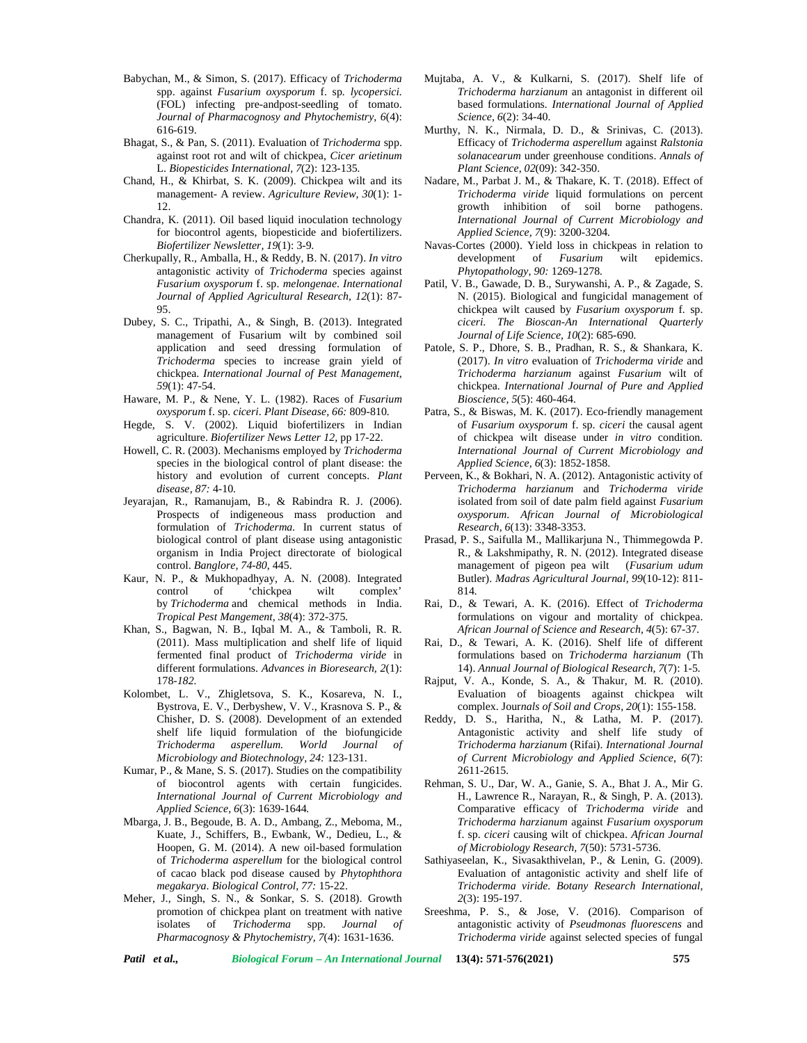- Babychan, M., & Simon, S. (2017). Efficacy of *Trichoderma* spp. against *Fusarium oxysporum* f. sp*. lycopersici.* (FOL) infecting pre-andpost-seedling of tomato. *Journal of Pharmacognosy and Phytochemistry, 6*(4): 616-619.
- Bhagat, S., & Pan, S. (2011). Evaluation of *Trichoderma* spp. against root rot and wilt of chickpea, *Cicer arietinum* L. *Biopesticides International, 7*(2): 123-135*.*
- Chand, H., & Khirbat, S. K. (2009). Chickpea wilt and its management- A review. *Agriculture Review, 30*(1): 1- 12.
- Chandra, K. (2011). Oil based liquid inoculation technology for biocontrol agents, biopesticide and biofertilizers. *Biofertilizer Newsletter, 19*(1): 3-9*.*
- Cherkupally, R., Amballa, H., & Reddy, B. N. (2017). *In vitro* antagonistic activity of *Trichoderma* species against *Fusarium oxysporum* f. sp. *melongenae*. *International Journal of Applied Agricultural Research, 12*(1): 87- 95.
- Dubey, S. C., Tripathi, A., & Singh, B. (2013). Integrated management of Fusarium wilt by combined soil application and seed dressing formulation of *Trichoderma* species to increase grain yield of chickpea. *International Journal of Pest Management, 59*(1): 47-54.
- Haware, M. P., & Nene, Y. L. (1982). Races of *Fusarium oxysporum* f. sp. *ciceri*. *Plant Disease, 66:* 809-810*.*
- Hegde, S. V. (2002). Liquid biofertilizers in Indian agriculture. *Biofertilizer News Letter 12,* pp 17-22.
- Howell, C. R. (2003). Mechanisms employed by *Trichoderma* species in the biological control of plant disease: the history and evolution of current concepts. *Plant disease, 87:* 4-10*.*
- Jeyarajan, R., Ramanujam, B., & Rabindra R. J. (2006). Prospects of indigeneous mass production and formulation of *Trichoderma.* In current status of biological control of plant disease using antagonistic organism in India Project directorate of biological control. *Banglore, 74-80*, 445.
- Kaur, N. P., & Mukhopadhyay, A. N. (2008). Integrated control of 'chickpea wilt complex' by *Trichoderma* and chemical methods in India. *Tropical Pest Mangement, 38*(4): 372-375*.*
- Khan, S., Bagwan, N. B., Iqbal M. A., & Tamboli, R. R. (2011). Mass multiplication and shelf life of liquid fermented final product of *Trichoderma viride* in different formulations. *Advances in Bioresearch, 2*(1): 178*-182.*
- Kolombet, L. V., Zhigletsova, S. K., Kosareva, N. I., Bystrova, E. V., Derbyshew, V. V., Krasnova S. P., & Chisher, D. S. (2008). Development of an extended shelf life liquid formulation of the biofungicide *Trichoderma asperellum. World Journal of Microbiology and Biotechnology, 24:* 123-131.
- Kumar, P., & Mane, S. S. (2017). Studies on the compatibility of biocontrol agents with certain fungicides. *International Journal of Current Microbiology and Applied Science, 6*(3): 1639-1644*.*
- Mbarga, J. B., Begoude, B. A. D., Ambang, Z., Meboma, M., Kuate, J., Schiffers, B., Ewbank, W., Dedieu, L., & Hoopen, G. M. (2014). A new oil-based formulation of *Trichoderma asperellum* for the biological control of cacao black pod disease caused by *Phytophthora megakarya*. *Biological Control, 77:* 15-22.
- Meher, J., Singh, S. N., & Sonkar, S. S. (2018). Growth promotion of chickpea plant on treatment with native isolates of *Trichoderma* spp. *Journal of Pharmacognosy & Phytochemistry, 7*(4): 1631-1636.
- Mujtaba, A. V., & Kulkarni, S. (2017). Shelf life of *Trichoderma harzianum* an antagonist in different oil based formulations*. International Journal of Applied Science, 6*(2): 34-40.
- Murthy, N. K., Nirmala, D. D., & Srinivas, C. (2013). Efficacy of *Trichoderma asperellum* against *Ralstonia solanacearum* under greenhouse conditions. *Annals of Plant Science, 02*(09): 342-350.
- Nadare, M., Parbat J. M., & Thakare, K. T. (2018). Effect of *Trichoderma viride* liquid formulations on percent growth inhibition of soil borne pathogens. *International Journal of Current Microbiology and Applied Science, 7*(9): 3200-3204*.*
- Navas-Cortes (2000). Yield loss in chickpeas in relation to development of *Fusarium* wilt epidemics. *Phytopathology, 90:* 1269-1278*.*
- Patil, V. B., Gawade, D. B., Surywanshi, A. P., & Zagade, S. N. (2015). Biological and fungicidal management of chickpea wilt caused by *Fusarium oxysporum* f. sp. *ciceri*. *The Bioscan-An International Quarterly Journal of Life Science, 10*(2): 685-690*.*
- Patole, S. P., Dhore, S. B., Pradhan, R. S., & Shankara, K. (2017). *In vitro* evaluation of *Trichoderma viride* and *Trichoderma harzianum* against*Fusarium* wilt of chickpea. *International Journal of Pure and Applied Bioscience, 5*(5): 460-464.
- Patra, S., & Biswas, M. K. (2017). Eco-friendly management of *Fusarium oxysporum* f. sp. *ciceri* the causal agent of chickpea wilt disease under *in vitro* condition. *International Journal of Current Microbiology and Applied Science, 6*(3): 1852-1858.
- Perveen, K., & Bokhari, N. A. (2012). Antagonistic activity of *Trichoderma harzianum* and *Trichoderma viride* isolated from soil of date palm field against *Fusarium oxysporum*. *African Journal of Microbiological Research, 6*(13): 3348-3353.
- Prasad, P. S., Saifulla M., Mallikarjuna N., Thimmegowda P. R., & Lakshmipathy, R. N. (2012). Integrated disease management of pigeon pea wilt (*Fusarium udum* Butler). *Madras Agricultural Journal, 99*(10-12): 811- 814*.*
- Rai, D., & Tewari, A. K. (2016). Effect of *Trichoderma* formulations on vigour and mortality of chickpea. *African Journal of Science and Research, 4*(5): 67-37*.*
- Rai, D., & Tewari, A. K. (2016). Shelf life of different formulations based on *Trichoderma harzianum* (Th 14). *Annual Journal of Biological Research, 7*(7): 1-5*.*
- Rajput, V. A., Konde, S. A., & Thakur, M. R. (2010). Evaluation of bioagents against chickpea wilt complex. Jour*nals of Soil and Crops, 20*(1): 155-158.
- Reddy, D. S., Haritha, N., & Latha, M. P. (2017). Antagonistic activity and shelf life study of *Trichoderma harzianum* (Rifai). *International Journal of Current Microbiology and Applied Science, 6*(7): 2611-2615*.*
- Rehman, S. U., Dar, W. A., Ganie, S. A., Bhat J. A., Mir G. H., Lawrence R., Narayan, R., & Singh, P. A. (2013). Comparative efficacy of *Trichoderma viride* and *Trichoderma harzianum* against *Fusarium oxysporum* f. sp. *ciceri* causing wilt of chickpea. *African Journal of Microbiology Research, 7*(50): 5731-5736.
- Sathiyaseelan, K., Sivasakthivelan, P., & Lenin, G. (2009). Evaluation of antagonistic activity and shelf life of *Trichoderma viride. Botany Research International, 2*(3): 195-197.
- Sreeshma, P. S., & Jose, V. (2016). Comparison of antagonistic activity of *Pseudmonas fluorescens* and *Trichoderma viride* against selected species of fungal

*Patil et al., Biological Forum – An International Journal* **13(4): 571-576(2021) 575**